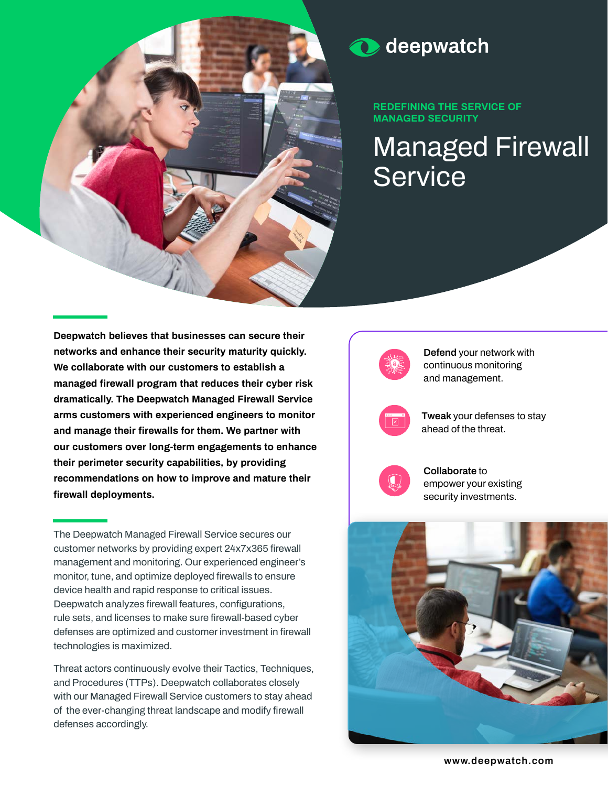

#### deepwatch  $\mathbf{\Omega}$

**REDEFINING THE SERVICE OF MANAGED SECURITY** 

**Managed Firewall Service**

**Deepwatch believes that businesses can secure their networks and enhance their security maturity quickly. We collaborate with our customers to establish a managed firewall program that reduces their cyber risk dramatically. The Deepwatch Managed Firewall Service arms customers with experienced engineers to monitor and manage their firewalls for them. We partner with our customers over long-term engagements to enhance their perimeter security capabilities, by providing recommendations on how to improve and mature their firewall deployments.**

**The Deepwatch Managed Firewall Service secures our customer networks by providing expert 24x7x365 firewall management and monitoring. Our experienced engineer's monitor, tune, and optimize deployed firewalls to ensure device health and rapid response to critical issues. Deepwatch analyzes firewall features, configurations, rule sets, and licenses to make sure firewall-based cyber defenses are optimized and customer investment in firewall technologies is maximized.** 

**Threat actors continuously evolve their Tactics, Techniques, and Procedures (TTPs). Deepwatch collaborates closely with our Managed Firewall Service customers to stay ahead of the ever-changing threat landscape and modify firewall defenses accordingly.**

**Defend your network with continuous monitoring and management.**



**Tweak your defenses to stay ahead of the threat.**



**Collaborate to empower your existing security investments.** 



**www.deepwatch.com**